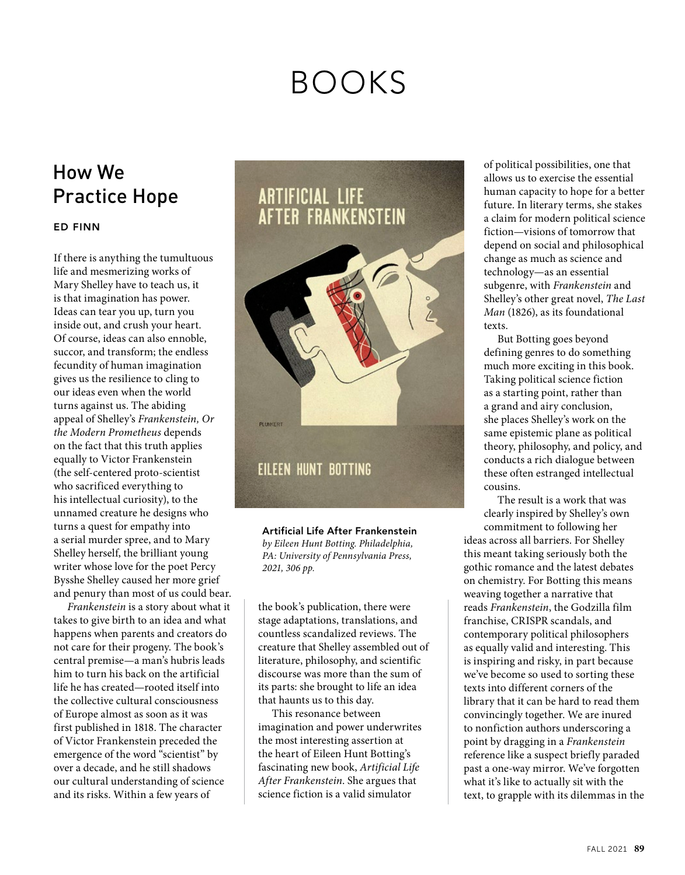## BOOKS

## How We Practice Hope

## **ED FINN**

If there is anything the tumultuous life and mesmerizing works of Mary Shelley have to teach us, it is that imagination has power. Ideas can tear you up, turn you inside out, and crush your heart. Of course, ideas can also ennoble, succor, and transform; the endless fecundity of human imagination gives us the resilience to cling to our ideas even when the world turns against us. The abiding appeal of Shelley's *Frankenstein, Or the Modern Prometheus* depends on the fact that this truth applies equally to Victor Frankenstein (the self-centered proto-scientist who sacrificed everything to his intellectual curiosity), to the unnamed creature he designs who turns a quest for empathy into a serial murder spree, and to Mary Shelley herself, the brilliant young writer whose love for the poet Percy Bysshe Shelley caused her more grief and penury than most of us could bear.

*Frankenstein* is a story about what it takes to give birth to an idea and what happens when parents and creators do not care for their progeny. The book's central premise—a man's hubris leads him to turn his back on the artificial life he has created—rooted itself into the collective cultural consciousness of Europe almost as soon as it was first published in 1818. The character of Victor Frankenstein preceded the emergence of the word "scientist" by over a decade, and he still shadows our cultural understanding of science and its risks. Within a few years of

## **ARTIFICIAL LIFE AFTER FRANKENSTEIN**



**Artificial Life After Frankenstein** *by Eileen Hunt Botting. Philadelphia, PA: University of Pennsylvania Press, 2021, 306 pp.* 

the book's publication, there were stage adaptations, translations, and countless scandalized reviews. The creature that Shelley assembled out of literature, philosophy, and scientific discourse was more than the sum of its parts: she brought to life an idea that haunts us to this day.

This resonance between imagination and power underwrites the most interesting assertion at the heart of Eileen Hunt Botting's fascinating new book, *Artificial Life After Frankenstein*. She argues that science fiction is a valid simulator

of political possibilities, one that allows us to exercise the essential human capacity to hope for a better future. In literary terms, she stakes a claim for modern political science fiction—visions of tomorrow that depend on social and philosophical change as much as science and technology—as an essential subgenre, with *Frankenstein* and Shelley's other great novel, *The Last Man* (1826), as its foundational texts.

But Botting goes beyond defining genres to do something much more exciting in this book. Taking political science fiction as a starting point, rather than a grand and airy conclusion, she places Shelley's work on the same epistemic plane as political theory, philosophy, and policy, and conducts a rich dialogue between these often estranged intellectual cousins.

The result is a work that was clearly inspired by Shelley's own commitment to following her

ideas across all barriers. For Shelley this meant taking seriously both the gothic romance and the latest debates on chemistry. For Botting this means weaving together a narrative that reads *Frankenstein*, the Godzilla film franchise, CRISPR scandals, and contemporary political philosophers as equally valid and interesting. This is inspiring and risky, in part because we've become so used to sorting these texts into different corners of the library that it can be hard to read them convincingly together. We are inured to nonfiction authors underscoring a point by dragging in a *Frankenstein* reference like a suspect briefly paraded past a one-way mirror. We've forgotten what it's like to actually sit with the text, to grapple with its dilemmas in the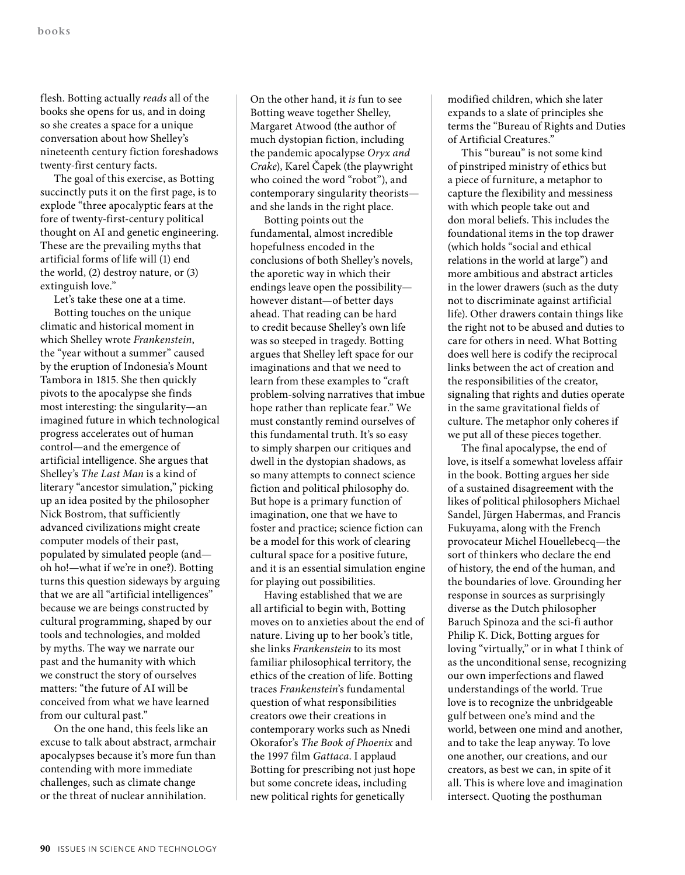flesh. Botting actually *reads* all of the books she opens for us, and in doing so she creates a space for a unique conversation about how Shelley's nineteenth century fiction foreshadows twenty-first century facts.

The goal of this exercise, as Botting succinctly puts it on the first page, is to explode "three apocalyptic fears at the fore of twenty-first-century political thought on AI and genetic engineering. These are the prevailing myths that artificial forms of life will (1) end the world, (2) destroy nature, or (3) extinguish love."

Let's take these one at a time.

Botting touches on the unique climatic and historical moment in which Shelley wrote *Frankenstein*, the "year without a summer" caused by the eruption of Indonesia's Mount Tambora in 1815. She then quickly pivots to the apocalypse she finds most interesting: the singularity—an imagined future in which technological progress accelerates out of human control—and the emergence of artificial intelligence. She argues that Shelley's *The Last Man* is a kind of literary "ancestor simulation," picking up an idea posited by the philosopher Nick Bostrom, that sufficiently advanced civilizations might create computer models of their past, populated by simulated people (and oh ho!—what if we're in one?). Botting turns this question sideways by arguing that we are all "artificial intelligences" because we are beings constructed by cultural programming, shaped by our tools and technologies, and molded by myths. The way we narrate our past and the humanity with which we construct the story of ourselves matters: "the future of AI will be conceived from what we have learned from our cultural past."

On the one hand, this feels like an excuse to talk about abstract, armchair apocalypses because it's more fun than contending with more immediate challenges, such as climate change or the threat of nuclear annihilation.

On the other hand, it *is* fun to see Botting weave together Shelley, Margaret Atwood (the author of much dystopian fiction, including the pandemic apocalypse *Oryx and Crake*), Karel Čapek (the playwright who coined the word "robot"), and contemporary singularity theorists and she lands in the right place.

Botting points out the fundamental, almost incredible hopefulness encoded in the conclusions of both Shelley's novels, the aporetic way in which their endings leave open the possibility however distant—of better days ahead. That reading can be hard to credit because Shelley's own life was so steeped in tragedy. Botting argues that Shelley left space for our imaginations and that we need to learn from these examples to "craft problem-solving narratives that imbue hope rather than replicate fear." We must constantly remind ourselves of this fundamental truth. It's so easy to simply sharpen our critiques and dwell in the dystopian shadows, as so many attempts to connect science fiction and political philosophy do. But hope is a primary function of imagination, one that we have to foster and practice; science fiction can be a model for this work of clearing cultural space for a positive future, and it is an essential simulation engine for playing out possibilities.

Having established that we are all artificial to begin with, Botting moves on to anxieties about the end of nature. Living up to her book's title, she links *Frankenstein* to its most familiar philosophical territory, the ethics of the creation of life. Botting traces *Frankenstein*'s fundamental question of what responsibilities creators owe their creations in contemporary works such as Nnedi Okorafor's *The Book of Phoenix* and the 1997 film *Gattaca*. I applaud Botting for prescribing not just hope but some concrete ideas, including new political rights for genetically

modified children, which she later expands to a slate of principles she terms the "Bureau of Rights and Duties of Artificial Creatures."

This "bureau" is not some kind of pinstriped ministry of ethics but a piece of furniture, a metaphor to capture the flexibility and messiness with which people take out and don moral beliefs. This includes the foundational items in the top drawer (which holds "social and ethical relations in the world at large") and more ambitious and abstract articles in the lower drawers (such as the duty not to discriminate against artificial life). Other drawers contain things like the right not to be abused and duties to care for others in need. What Botting does well here is codify the reciprocal links between the act of creation and the responsibilities of the creator, signaling that rights and duties operate in the same gravitational fields of culture. The metaphor only coheres if we put all of these pieces together.

The final apocalypse, the end of love, is itself a somewhat loveless affair in the book. Botting argues her side of a sustained disagreement with the likes of political philosophers Michael Sandel, Jürgen Habermas, and Francis Fukuyama, along with the French provocateur Michel Houellebecq—the sort of thinkers who declare the end of history, the end of the human, and the boundaries of love. Grounding her response in sources as surprisingly diverse as the Dutch philosopher Baruch Spinoza and the sci-fi author Philip K. Dick, Botting argues for loving "virtually," or in what I think of as the unconditional sense, recognizing our own imperfections and flawed understandings of the world. True love is to recognize the unbridgeable gulf between one's mind and the world, between one mind and another, and to take the leap anyway. To love one another, our creations, and our creators, as best we can, in spite of it all. This is where love and imagination intersect. Quoting the posthuman